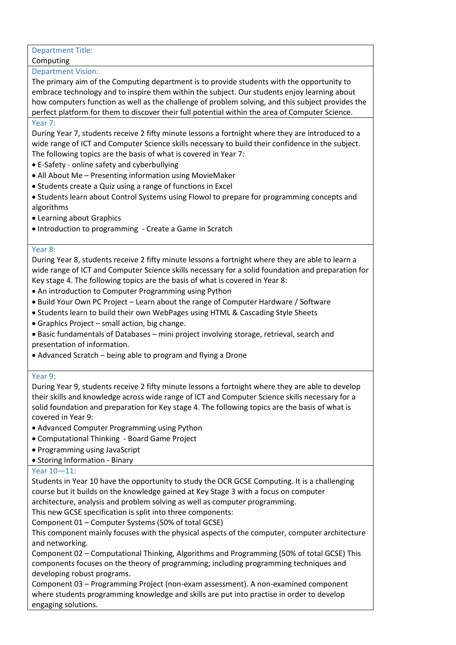# Department Title:

## Computing

#### Department Vision:

The primary aim of the Computing department is to provide students with the opportunity to embrace technology and to inspire them within the subject. Our students enjoy learning about how computers function as well as the challenge of problem solving, and this subject provides the perfect platform for them to discover their full potential within the area of Computer Science.

#### Year 7:

During Year 7, students receive 2 fifty minute lessons a fortnight where they are introduced to a wide range of ICT and Computer Science skills necessary to build their confidence in the subject. The following topics are the basis of what is covered in Year 7:

- E-Safety online safety and cyberbullying
- All About Me Presenting information using MovieMaker
- Students create a Quiz using a range of functions in Excel
- Students learn about Control Systems using Flowol to prepare for programming concepts and algorithms
- Learning about Graphics
- Introduction to programming Create a Game in Scratch

### Year 8:

During Year 8, students receive 2 fifty minute lessons a fortnight where they are able to learn a wide range of ICT and Computer Science skills necessary for a solid foundation and preparation for Key stage 4. The following topics are the basis of what is covered in Year 8:

- An introduction to Computer Programming using Python
- Build Your Own PC Project Learn about the range of Computer Hardware / Software
- Students learn to build their own WebPages using HTML & Cascading Style Sheets
- Graphics Project small action, big change.
- Basic fundamentals of Databases mini project involving storage, retrieval, search and presentation of information.
- Advanced Scratch being able to program and flying a Drone

# Year 9:

During Year 9, students receive 2 fifty minute lessons a fortnight where they are able to develop their skills and knowledge across wide range of ICT and Computer Science skills necessary for a solid foundation and preparation for Key stage 4. The following topics are the basis of what is covered in Year 9:

- Advanced Computer Programming using Python
- Computational Thinking Board Game Project
- Programming using JavaScript
- Storing Information Binary

# Year 10—11:

Students in Year 10 have the opportunity to study the OCR GCSE Computing. It is a challenging course but it builds on the knowledge gained at Key Stage 3 with a focus on computer architecture, analysis and problem solving as well as computer programming.

This new GCSE specification is split into three components:

Component 01 – Computer Systems (50% of total GCSE)

This component mainly focuses with the physical aspects of the computer, computer architecture and networking.

Component 02 – Computational Thinking, Algorithms and Programming (50% of total GCSE) This components focuses on the theory of programming; including programming techniques and developing robust programs.

Component 03 – Programming Project (non-exam assessment). A non-examined component where students programming knowledge and skills are put into practise in order to develop engaging solutions.